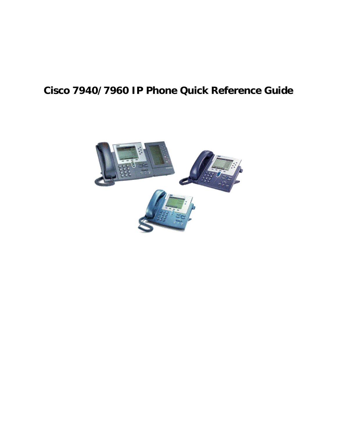# **Cisco 7940/7960 IP Phone Quick Reference Guide**

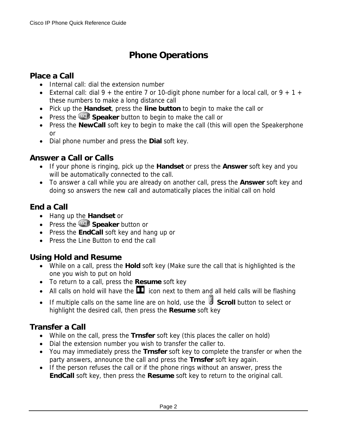## **Phone Operations**

### **Place a Call**

- Internal call: dial the extension number
- External call: dial  $9 +$  the entire 7 or 10-digit phone number for a local call, or  $9 + 1 +$ these numbers to make a long distance call
- Pick up the **Handset**, press the **line button** to begin to make the call or
- Press the **Speaker** button to begin to make the call or
- Press the **NewCall** soft key to begin to make the call (this will open the Speakerphone or
- Dial phone number and press the **Dial** soft key.

#### **Answer a Call or Calls**

- If your phone is ringing, pick up the **Handset** or press the **Answer** soft key and you will be automatically connected to the call.
- To answer a call while you are already on another call, press the **Answer** soft key and doing so answers the new call and automatically places the initial call on hold

## **End a Call**

- Hang up the **Handset** or
- Press the **Speaker** button or
- Press the **EndCall** soft key and hang up or
- Press the Line Button to end the call

### **Using Hold and Resume**

- While on a call, press the **Hold** soft key (Make sure the call that is highlighted is the one you wish to put on hold
- To return to a call, press the **Resume** soft key
- All calls on hold will have the  $\blacksquare$  icon next to them and all held calls will be flashing
- If multiple calls on the same line are on hold, use the **Scroll** button to select or highlight the desired call, then press the **Resume** soft key

### **Transfer a Call**

- While on the call, press the **Trnsfer** soft key (this places the caller on hold)
- Dial the extension number you wish to transfer the caller to.
- You may immediately press the **Trnsfer** soft key to complete the transfer or when the party answers, announce the call and press the **Trnsfer** soft key again.
- If the person refuses the call or if the phone rings without an answer, press the **EndCall** soft key, then press the **Resume** soft key to return to the original call.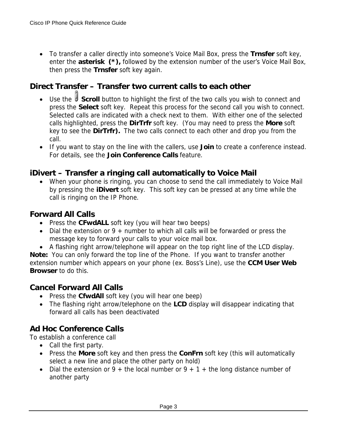• To transfer a caller directly into someone's Voice Mail Box, press the **Trnsfer** soft key, enter the **asterisk (\*),** followed by the extension number of the user's Voice Mail Box, then press the **Trnsfer** soft key again.

### **Direct Transfer – Transfer two current calls to each other**

- Use the **Scroll** button to highlight the first of the two calls you wish to connect and press the **Select** soft key. Repeat this process for the second call you wish to connect. Selected calls are indicated with a check next to them. With either one of the selected calls highlighted, press the **DirTrfr** soft key. (You may need to press the **More** soft key to see the **DirTrfr).** The two calls connect to each other and drop you from the call.
- If you want to stay on the line with the callers, use **Join** to create a conference instead. For details, see the **Join Conference Calls** feature.

#### **iDivert – Transfer a ringing call automatically to Voice Mail**

• When your phone is ringing, you can choose to send the call immediately to Voice Mail by pressing the **iDivert** soft key. This soft key can be pressed at any time while the call is ringing on the IP Phone.

#### **Forward All Calls**

- Press the **CFwdALL** soft key (you will hear two beeps)
- Dial the extension or 9 + number to which all calls will be forwarded or press the message key to forward your calls to your voice mail box.
- A flashing right arrow/telephone will appear on the top right line of the LCD display.

**Note:** You can only forward the top line of the Phone. If you want to transfer another extension number which appears on your phone (ex. Boss's Line), use the **CCM User Web Browser** to do this.

#### **Cancel Forward All Calls**

- Press the **CfwdAll** soft key (you will hear one beep)
- The flashing right arrow/telephone on the **LCD** display will disappear indicating that forward all calls has been deactivated

### **Ad Hoc Conference Calls**

To establish a conference call

- Call the first party.
- Press the **More** soft key and then press the **ConFrn** soft key (this will automatically select a new line and place the other party on hold)
- Dial the extension or 9 + the local number or 9 + 1 + the long distance number of another party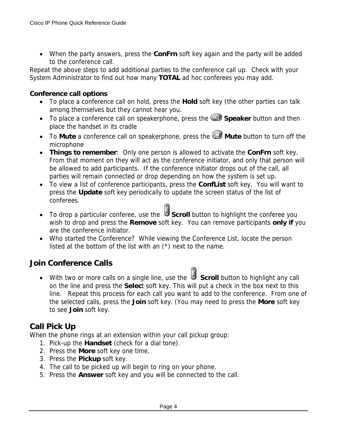• When the party answers, press the **ConFrn** soft key again and the party will be added to the conference call.

Repeat the above steps to add additional parties to the conference call up. Check with your System Administrator to find out how many **TOTAL** ad hoc conferees you may add.

#### **Conference call options**

- To place a conference call on hold, press the **Hold** soft key (the other parties can talk among themselves but they cannot hear you.
- To place a conference call on speakerphone, press the **Speaker** button and then place the handset in its cradle
- To Mute a conference call on speakerphone, press the **2** Mute button to turn off the microphone
- **Things to remember**: Only one person is allowed to activate the **ConFrn** soft key. From that moment on they will act as the conference initiator, and only that person will be allowed to add participants. If the conference initiator drops out of the call, all parties will remain connected or drop depending on how the system is set up.
- To view a list of conference participants, press the **ConfList** soft key. You will want to press the **Update** soft key periodically to update the screen status of the list of conferees.
- To drop a particular conferee, use the **Scroll** button to highlight the conferee you wish to drop and press the **Remove** soft key. You can remove participants **only if** you are the conference initiator.
- Who started the Conference? While viewing the Conference List, locate the person listed at the bottom of the list with an (\*) next to the name.

### **Join Conference Calls**

• With two or more calls on a single line, use the **Scroll** button to highlight any call on the line and press the **Selec**t soft key. This will put a check in the box next to this line. Repeat this process for each call you want to add to the conference. From one of the selected calls, press the **Join** soft key. (You may need to press the **More** soft key to see **Join** soft key.

#### **Call Pick Up**

When the phone rings at an extension within your call pickup group:

- 1. Pick-up the **Handset** (check for a dial tone).
- 2. Press the **More** soft key one time.
- 3. Press the **Pickup** soft key.
- 4. The call to be picked up will begin to ring on your phone.
- 5. Press the **Answer** soft key and you will be connected to the call.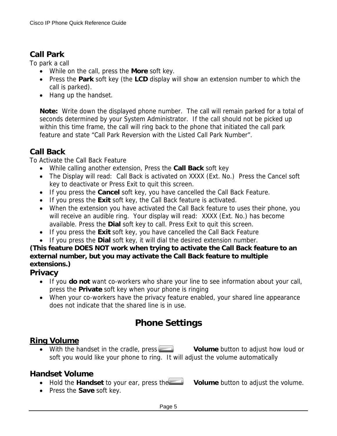#### **Call Park**

To park a call

- While on the call, press the **More** soft key.
- Press the **Park** soft key (the **LCD** display will show an extension number to which the call is parked).
- Hang up the handset.

**Note:** Write down the displayed phone number. The call will remain parked for a total of seconds determined by your System Administrator. If the call should not be picked up within this time frame, the call will ring back to the phone that initiated the call park feature and state "Call Park Reversion with the Listed Call Park Number".

### **Call Back**

To Activate the Call Back Feature

- While calling another extension, Press the **Call Back** soft key
- The Display will read: Call Back is activated on XXXX (Ext. No.) Press the Cancel soft key to deactivate or Press Exit to quit this screen.
- If you press the **Cancel** soft key, you have cancelled the Call Back Feature.
- If you press the **Exit** soft key, the Call Back feature is activated.
- When the extension you have activated the Call Back feature to uses their phone, you will receive an audible ring. Your display will read: XXXX (Ext. No.) has become available. Press the **Dial** soft key to call. Press Exit to quit this screen.
- If you press the **Exit** soft key, you have cancelled the Call Back Feature
- If you press the **Dial** soft key, it will dial the desired extension number.

#### **(This feature DOES NOT work when trying to activate the Call Back feature to an external number, but you may activate the Call Back feature to multiple extensions.)**

#### **Privacy**

- If you **do not** want co-workers who share your line to see information about your call, press the **Private** soft key when your phone is ringing
- When your co-workers have the privacy feature enabled, your shared line appearance does not indicate that the shared line is in use.

## **Phone Settings**

#### **Ring Volume**

• With the handset in the cradle, press **Volume** button to adjust how loud or soft you would like your phone to ring. It will adjust the volume automatically

#### **Handset Volume**

- Hold the **Handset** to your ear, press the **Volume** button to adjust the volume.
- Press the **Save** soft key.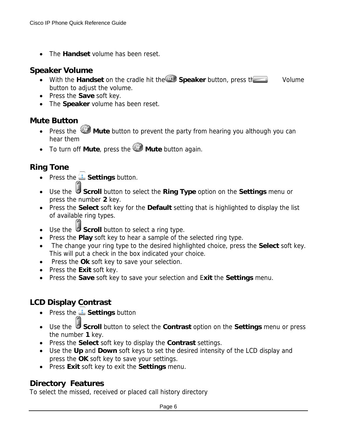• The **Handset** volume has been reset.

#### **Speaker Volume**

- With the Handset on the cradle hit the **Speaker** button, press the Volume button to adjust the volume.
- Press the **Save** soft key.
- The **Speaker** volume has been reset.

#### **Mute Button**

- Press the **Mute** button to prevent the party from hearing you although you can hear them
- To turn off **Mute**, press the **Mute** button again.

## **Ring Tone**

- Press the **Settings** button.
- Use the **Scroll** button to select the **Ring Type** option on the **Settings** menu or press the number **2** key.
- Press the **Select** soft key for the **Default** setting that is highlighted to display the list of available ring types.
- Use the **Scroll** button to select a ring type.
- Press the **Play** soft key to hear a sample of the selected ring type.
- The change your ring type to the desired highlighted choice, press the **Select** soft key. This will put a check in the box indicated your choice.
- Press the **Ok** soft key to save your selection.
- Press the **Exit** soft key.
- Press the **Save** soft key to save your selection and E**xit** the **Settings** menu.

## **LCD Display Contrast**

- **•** Press the **Settings** button
- Use the **Scroll** button to select the **Contrast** option on the **Settings** menu or press the number **1** key.
- Press the **Select** soft key to display the **Contrast** settings.
- Use the **Up** and **Down** soft keys to set the desired intensity of the LCD display and press the **OK** soft key to save your settings.
- Press **Exit** soft key to exit the **Settings** menu.

### **Directory Features**

To select the missed, received or placed call history directory